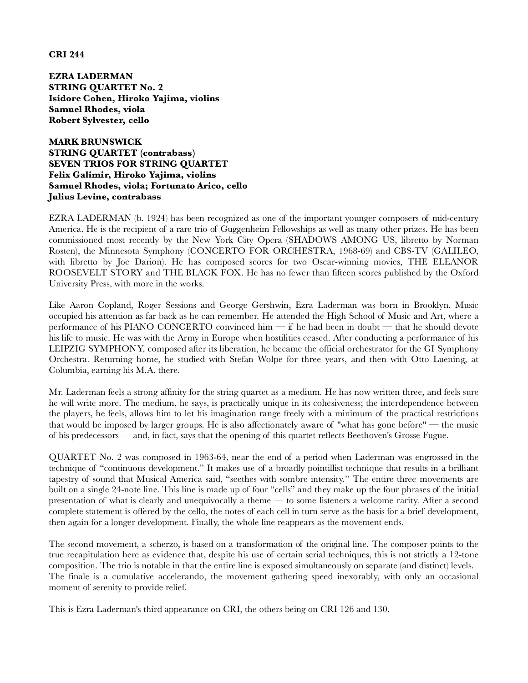**CRI 244**

**EZRA LADERMAN STRING QUARTET No. 2 Isidore Cohen, Hiroko Yajima, violins Samuel Rhodes, viola Robert Sylvester, cello**

**MARK BRUNSWICK STRING QUARTET (contrabass) SEVEN TRIOS FOR STRING QUARTET Felix Galimir, Hiroko Yajima, violins Samuel Rhodes, viola; Fortunato Arico, cello Julius Levine, contrabass**

EZRA LADERMAN (b. 1924) has been recognized as one of the important younger composers of mid-century America. He is the recipient of a rare trio of Guggenheim Fellowships as well as many other prizes. He has been commissioned most recently by the New York City Opera (SHADOWS AMONG US, libretto by Norman Rosten), the Minnesota Symphony (CONCERTO FOR ORCHESTRA, 1968-69) and CBS-TV (GALILEO, with libretto by Joe Darion). He has composed scores for two Oscar-winning movies, THE ELEANOR ROOSEVELT STORY and THE BLACK FOX. He has no fewer than fifteen scores published by the Oxford University Press, with more in the works.

Like Aaron Copland, Roger Sessions and George Gershwin, Ezra Laderman was born in Brooklyn. Music occupied his attention as far back as he can remember. He attended the High School of Music and Art, where a performance of his PIANO CONCERTO convinced him — if he had been in doubt — that he should devote his life to music. He was with the Army in Europe when hostilities ceased. After conducting a performance of his LEIPZIG SYMPHONY, composed after its liberation, he became the official orchestrator for the GI Symphony Orchestra. Returning home, he studied with Stefan Wolpe for three years, and then with Otto Luening, at Columbia, earning his M.A. there.

Mr. Laderman feels a strong affinity for the string quartet as a medium. He has now written three, and feels sure he will write more. The medium, he says, is practically unique in its cohesiveness; the interdependence between the players, he feels, allows him to let his imagination range freely with a minimum of the practical restrictions that would be imposed by larger groups. He is also affectionately aware of "what has gone before" — the music of his predecessors — and, in fact, says that the opening of this quartet reflects Beethoven's Grosse Fugue.

QUARTET No. 2 was composed in 1963-64, near the end of a period when Laderman was engrossed in the technique of "continuous development." It makes use of a broadly pointillist technique that results in a brilliant tapestry of sound that Musical America said, "seethes with sombre intensity." The entire three movements are built on a single 24-note line. This line is made up of four "cells" and they make up the four phrases of the initial presentation of what is clearly and unequivocally a theme — to some listeners a welcome rarity. After a second complete statement is offered by the cello, the notes of each cell in turn serve as the basis for a brief development, then again for a longer development. Finally, the whole line reappears as the movement ends.

The second movement, a scherzo, is based on a transformation of the original line. The composer points to the true recapitulation here as evidence that, despite his use of certain serial techniques, this is not strictly a 12-tone composition. The trio is notable in that the entire line is exposed simultaneously on separate (and distinct) levels. The finale is a cumulative accelerando, the movement gathering speed inexorably, with only an occasional moment of serenity to provide relief.

This is Ezra Laderman's third appearance on CRI, the others being on CRI 126 and 130.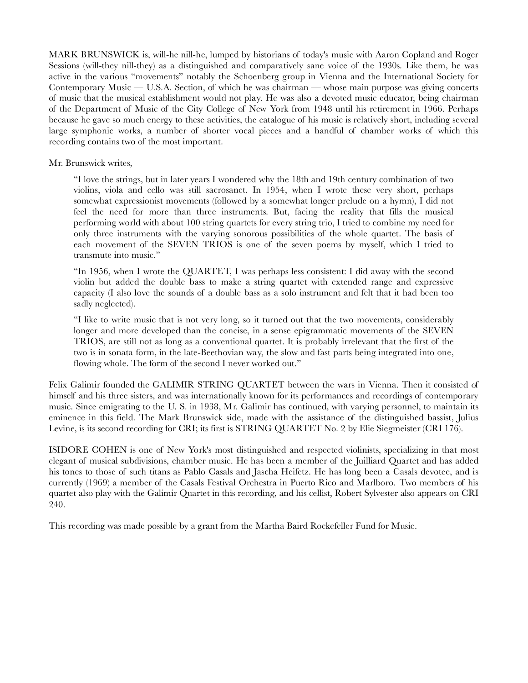MARK BRUNSWICK is, will-he nill-he, lumped by historians of today's music with Aaron Copland and Roger Sessions (will-they nill-they) as a distinguished and comparatively sane voice of the 1930s. Like them, he was active in the various "movements" notably the Schoenberg group in Vienna and the International Society for Contemporary Music — U.S.A. Section, of which he was chairman — whose main purpose was giving concerts of music that the musical establishment would not play. He was also a devoted music educator, being chairman of the Department of Music of the City College of New York from 1948 until his retirement in 1966. Perhaps because he gave so much energy to these activities, the catalogue of his music is relatively short, including several large symphonic works, a number of shorter vocal pieces and a handful of chamber works of which this recording contains two of the most important.

## Mr. Brunswick writes,

"I love the strings, but in later years I wondered why the 18th and 19th century combination of two violins, viola and cello was still sacrosanct. In 1954, when I wrote these very short, perhaps somewhat expressionist movements (followed by a somewhat longer prelude on a hymn), I did not feel the need for more than three instruments. But, facing the reality that fills the musical performing world with about 100 string quartets for every string trio, I tried to combine my need for only three instruments with the varying sonorous possibilities of the whole quartet. The basis of each movement of the SEVEN TRIOS is one of the seven poems by myself, which I tried to transmute into music."

"In 1956, when I wrote the QUARTET, I was perhaps less consistent: I did away with the second violin but added the double bass to make a string quartet with extended range and expressive capacity (I also love the sounds of a double bass as a solo instrument and felt that it had been too sadly neglected).

"I like to write music that is not very long, so it turned out that the two movements, considerably longer and more developed than the concise, in a sense epigrammatic movements of the SEVEN TRIOS, are still not as long as a conventional quartet. It is probably irrelevant that the first of the two is in sonata form, in the late-Beethovian way, the slow and fast parts being integrated into one, flowing whole. The form of the second I never worked out."

Felix Galimir founded the GALIMIR STRING QUARTET between the wars in Vienna. Then it consisted of himself and his three sisters, and was internationally known for its performances and recordings of contemporary music. Since emigrating to the U. S. in 1938, Mr. Galimir has continued, with varying personnel, to maintain its eminence in this field. The Mark Brunswick side, made with the assistance of the distinguished bassist, Julius Levine, is its second recording for CRI; its first is STRING QUARTET No. 2 by Elie Siegmeister (CRI 176).

ISIDORE COHEN is one of New York's most distinguished and respected violinists, specializing in that most elegant of musical subdivisions, chamber music. He has been a member of the Juilliard Quartet and has added his tones to those of such titans as Pablo Casals and Jascha Heifetz. He has long been a Casals devotee, and is currently (1969) a member of the Casals Festival Orchestra in Puerto Rico and Marlboro. Two members of his quartet also play with the Galimir Quartet in this recording, and his cellist, Robert Sylvester also appears on CRI 240.

This recording was made possible by a grant from the Martha Baird Rockefeller Fund for Music.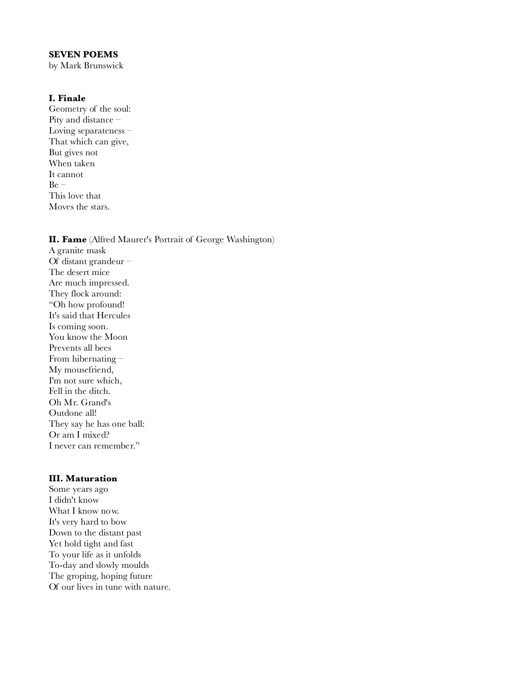### **SEVEN POEMS**

by Mark Brunswick

## **I. Finale**

Geometry of the soul: Pity and distance – Loving separateness – That which can give, But gives not When taken It cannot  $Be -$ This love that Moves the stars.

#### **II. Fame** (Alfred Maurer's Portrait of George Washington)

A granite mask Of distant grandeur – The desert mice Are much impressed. They flock around: "Oh how profound! It's said that Hercules Is coming soon. You know the Moon Prevents all bees From hibernating – My mousefriend, I'm not sure which, Fell in the ditch. Oh Mr. Grand's Outdone all! They say he has one ball: Or am I mixed? I never can remember."

#### **III. Maturation**

Some years ago I didn't know What I know now. It's very hard to bow Down to the distant past Yet hold tight and fast To your life as it unfolds To-day and slowly moulds The groping, hoping future Of our lives in tune with nature.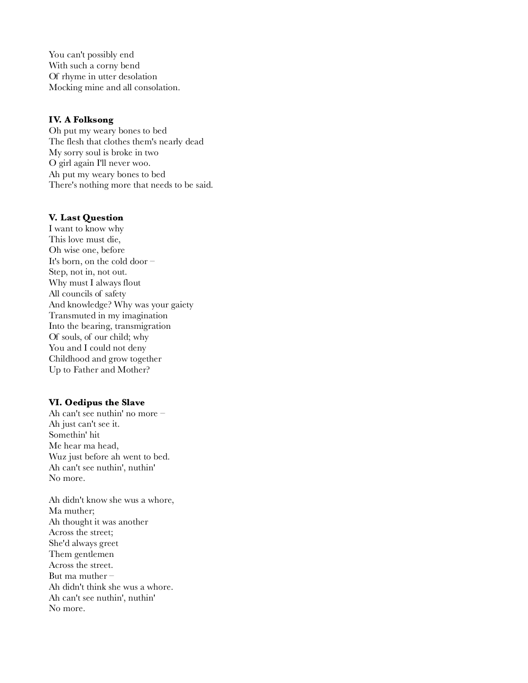You can't possibly end With such a corny bend Of rhyme in utter desolation Mocking mine and all consolation.

## **IV. A Folksong**

Oh put my weary bones to bed The flesh that clothes them's nearly dead My sorry soul is broke in two O girl again I'll never woo. Ah put my weary bones to bed There's nothing more that needs to be said.

## **V. Last Question**

I want to know why This love must die, Oh wise one, before It's born, on the cold door – Step, not in, not out. Why must I always flout All councils of safety And knowledge? Why was your gaiety Transmuted in my imagination Into the bearing, transmigration Of souls, of our child; why You and I could not deny Childhood and grow together Up to Father and Mother?

#### **VI. Oedipus the Slave**

Ah can't see nuthin' no more – Ah just can't see it. Somethin' hit Me hear ma head, Wuz just before ah went to bed. Ah can't see nuthin', nuthin' No more.

Ah didn't know she wus a whore, Ma muther; Ah thought it was another Across the street; She'd always greet Them gentlemen Across the street. But ma muther – Ah didn't think she wus a whore. Ah can't see nuthin', nuthin' No more.